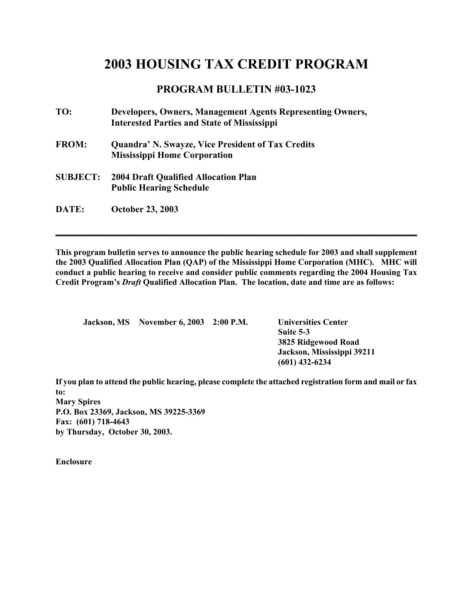## **2003 HOUSING TAX CREDIT PROGRAM**

## **PROGRAM BULLETIN #03-1023**

| TO:             | Developers, Owners, Management Agents Representing Owners,<br><b>Interested Parties and State of Mississippi</b> |
|-----------------|------------------------------------------------------------------------------------------------------------------|
| <b>FROM:</b>    | <b>Quandra' N. Swayze, Vice President of Tax Credits</b><br><b>Mississippi Home Corporation</b>                  |
| <b>SUBJECT:</b> | <b>2004 Draft Qualified Allocation Plan</b><br><b>Public Hearing Schedule</b>                                    |
| <b>DATE:</b>    | <b>October 23, 2003</b>                                                                                          |

**This program bulletin serves to announce the public hearing schedule for 2003 and shall supplement the 2003 Qualified Allocation Plan (QAP) of the Mississippi Home Corporation (MHC). MHC will conduct a public hearing to receive and consider public comments regarding the 2004 Housing Tax Credit Program's** *Draft* **Qualified Allocation Plan. The location, date and time are as follows:** 

**\_\_\_\_\_\_\_\_\_\_\_\_\_\_\_\_\_\_\_\_\_\_\_\_\_\_\_\_\_\_\_\_\_\_\_\_\_\_\_\_\_\_\_\_\_\_\_\_\_\_\_\_\_\_\_\_\_\_\_\_\_\_\_\_\_\_\_\_\_\_\_\_\_\_\_\_\_\_**

|  | Jackson, MS November 6, 2003 2:00 P.M. | <b>Universities Center</b> |
|--|----------------------------------------|----------------------------|
|  |                                        | Suite 5-3                  |
|  |                                        | 3825 Ridgewood Road        |
|  |                                        | Jackson, Mississippi 39211 |
|  |                                        | $(601)$ 432-6234           |

**If you plan to attend the public hearing, please complete the attached registration form and mail or fax to: Mary Spires P.O. Box 23369, Jackson, MS 39225-3369 Fax: (601) 718-4643 by Thursday, October 30, 2003.** 

**Enclosure**